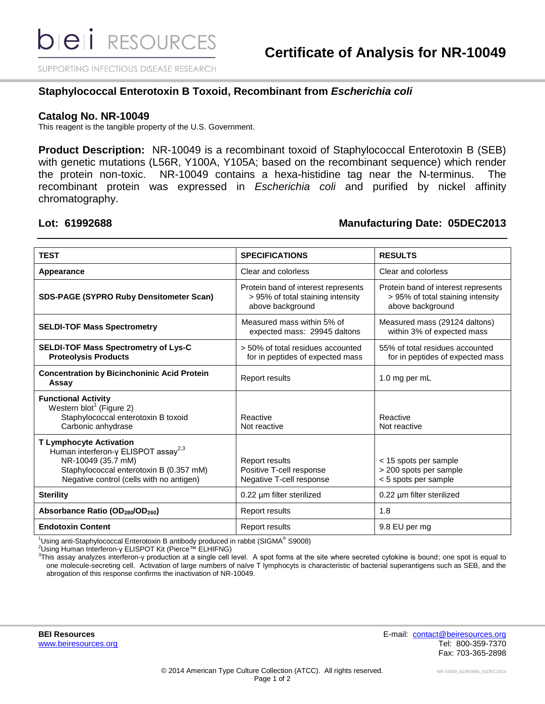SUPPORTING INFECTIOUS DISEASE RESEARCH

#### **Staphylococcal Enterotoxin B Toxoid, Recombinant from** *Escherichia coli*

#### **Catalog No. NR-10049**

This reagent is the tangible property of the U.S. Government.

**Product Description:** NR-10049 is a recombinant toxoid of Staphylococcal Enterotoxin B (SEB) with genetic mutations (L56R, Y100A, Y105A; based on the recombinant sequence) which render the protein non-toxic. NR-10049 contains a hexa-histidine tag near the N-terminus. The recombinant protein was expressed in *Escherichia coli* and purified by nickel affinity chromatography.

### **Lot: 61992688 Manufacturing Date: 05DEC2013**

| <b>TEST</b>                                                                                                                                                                                    | <b>SPECIFICATIONS</b>                                                                        | <b>RESULTS</b>                                                                               |
|------------------------------------------------------------------------------------------------------------------------------------------------------------------------------------------------|----------------------------------------------------------------------------------------------|----------------------------------------------------------------------------------------------|
| Appearance                                                                                                                                                                                     | Clear and colorless                                                                          | Clear and colorless                                                                          |
| <b>SDS-PAGE (SYPRO Ruby Densitometer Scan)</b>                                                                                                                                                 | Protein band of interest represents<br>> 95% of total staining intensity<br>above background | Protein band of interest represents<br>> 95% of total staining intensity<br>above background |
| <b>SELDI-TOF Mass Spectrometry</b>                                                                                                                                                             | Measured mass within 5% of<br>expected mass: 29945 daltons                                   | Measured mass (29124 daltons)<br>within 3% of expected mass                                  |
| <b>SELDI-TOF Mass Spectrometry of Lys-C</b><br><b>Proteolysis Products</b>                                                                                                                     | > 50% of total residues accounted<br>for in peptides of expected mass                        | 55% of total residues accounted<br>for in peptides of expected mass                          |
| <b>Concentration by Bicinchoninic Acid Protein</b><br>Assay                                                                                                                                    | <b>Report results</b>                                                                        | 1.0 mg per mL                                                                                |
| <b>Functional Activity</b><br>Western blot <sup>1</sup> (Figure 2)<br>Staphylococcal enterotoxin B toxoid<br>Carbonic anhydrase                                                                | Reactive<br>Not reactive                                                                     | Reactive<br>Not reactive                                                                     |
| <b>T Lymphocyte Activation</b><br>Human interferon-γ ELISPOT assay <sup>2,3</sup><br>NR-10049 (35.7 mM)<br>Staphylococcal enterotoxin B (0.357 mM)<br>Negative control (cells with no antigen) | Report results<br>Positive T-cell response<br>Negative T-cell response                       | < 15 spots per sample<br>> 200 spots per sample<br>< 5 spots per sample                      |
| <b>Sterility</b>                                                                                                                                                                               | 0.22 µm filter sterilized                                                                    | 0.22 µm filter sterilized                                                                    |
| Absorbance Ratio (OD <sub>280</sub> /OD <sub>260</sub> )                                                                                                                                       | <b>Report results</b>                                                                        | 1.8                                                                                          |
| <b>Endotoxin Content</b>                                                                                                                                                                       | <b>Report results</b>                                                                        | 9.8 EU per mg                                                                                |

 $1$ Using anti-Staphylococcal Enterotoxin B antibody produced in rabbit (SIGMA® S9008)

<sup>2</sup>Using Human Interferon-γ ELISPOT Kit (Pierce™ ELHIFNG)

3 This assay analyzes interferon-γ production at a single cell level. A spot forms at the site where secreted cytokine is bound; one spot is equal to one molecule-secreting cell. Activation of large numbers of naïve T lymphocyts is characteristic of bacterial superantigens such as SEB, and the abrogation of this response confirms the inactivation of NR-10049.